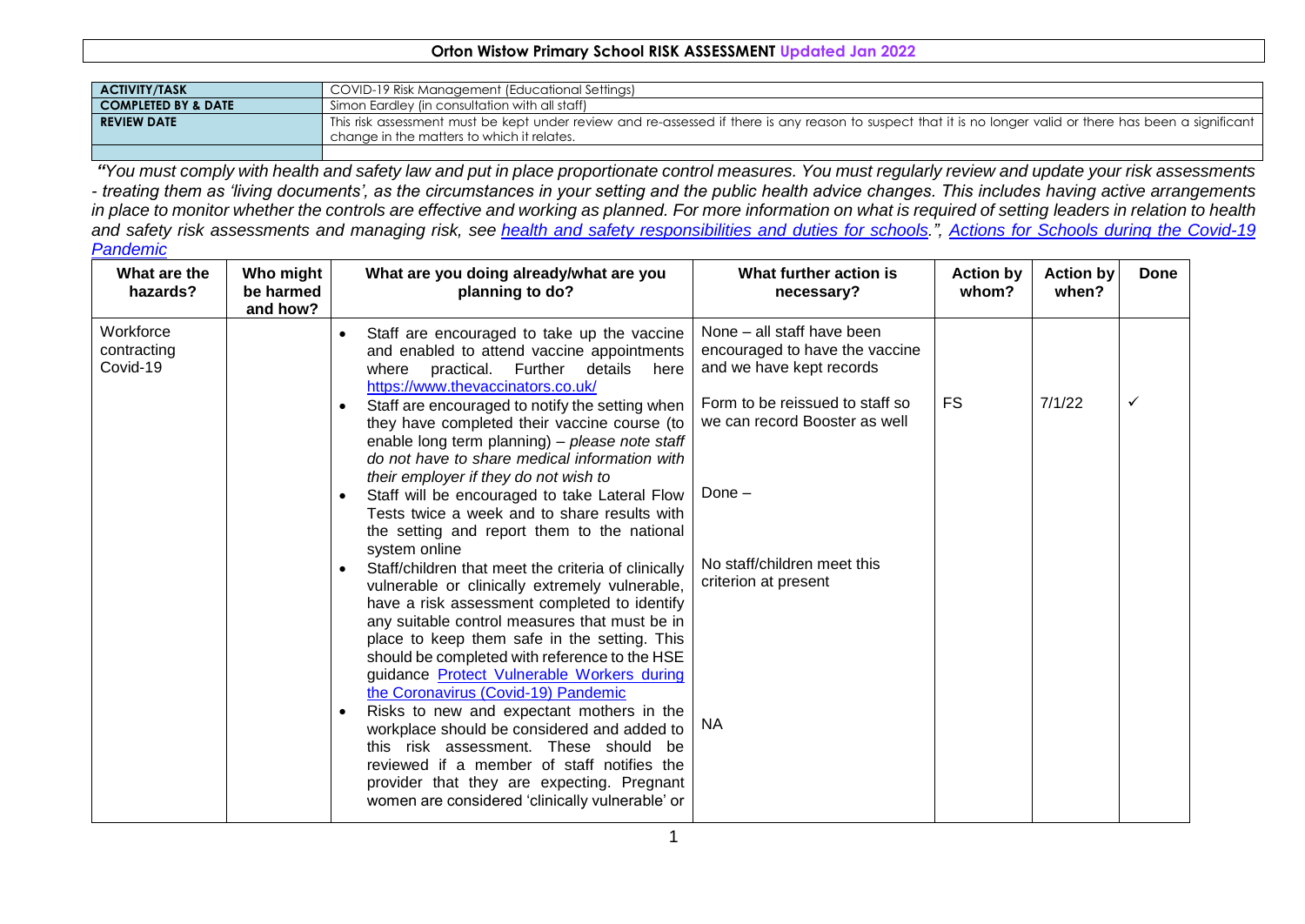## **Orton Wistow Primary School RISK ASSESSMENT Updated Jan 2022**

| <b>ACTIVITY/TASK</b>           | COVID-19 Risk Management (Educational Settings)                                                                                                                                                           |
|--------------------------------|-----------------------------------------------------------------------------------------------------------------------------------------------------------------------------------------------------------|
| <b>COMPLETED BY &amp; DATE</b> | Simon Eardley (in consultation with all staff)                                                                                                                                                            |
| <b>REVIEW DATE</b>             | This risk assessment must be kept under review and re-assessed if there is any reason to suspect that it is no longer valid or there has been a significant<br>change in the matters to which it relates. |
|                                |                                                                                                                                                                                                           |

*"You must comply with health and safety law and put in place proportionate control measures. You must regularly review and update your risk assessments - treating them as 'living documents', as the circumstances in your setting and the public health advice changes. This includes having active arrangements*  in place to monitor whether the controls are effective and working as planned. For more information on what is required of setting leaders in relation to health *and safety risk assessments and managing risk, see health and safety [responsibilities](https://www.gov.uk/government/publications/health-and-safety-advice-for-schools/responsibilities-and-duties-for-schools) and duties for schools.", [Actions for Schools during the Covid-19](https://www.gov.uk/government/publications/actions-for-schools-during-the-coronavirus-outbreak?priority-taxon=b350e61d-1db9-4cc2-bb44-fab02882ac25)  [Pandemic](https://www.gov.uk/government/publications/actions-for-schools-during-the-coronavirus-outbreak?priority-taxon=b350e61d-1db9-4cc2-bb44-fab02882ac25)*

| What are the<br>hazards?             | Who might<br>be harmed<br>and how? | What are you doing already/what are you<br>planning to do?                                                                                                                                                                                                                                                                                                                                          | What further action is<br>necessary?                                                                                        | <b>Action by</b><br>whom? | <b>Action by</b><br>when? | <b>Done</b>  |
|--------------------------------------|------------------------------------|-----------------------------------------------------------------------------------------------------------------------------------------------------------------------------------------------------------------------------------------------------------------------------------------------------------------------------------------------------------------------------------------------------|-----------------------------------------------------------------------------------------------------------------------------|---------------------------|---------------------------|--------------|
| Workforce<br>contracting<br>Covid-19 |                                    | Staff are encouraged to take up the vaccine<br>$\bullet$<br>and enabled to attend vaccine appointments<br>practical. Further<br>details<br>where<br>here<br>https://www.thevaccinators.co.uk/<br>Staff are encouraged to notify the setting when<br>$\bullet$                                                                                                                                       | None - all staff have been<br>encouraged to have the vaccine<br>and we have kept records<br>Form to be reissued to staff so | <b>FS</b>                 | 7/1/22                    | $\checkmark$ |
|                                      |                                    | they have completed their vaccine course (to<br>enable long term planning) - please note staff<br>do not have to share medical information with<br>their employer if they do not wish to                                                                                                                                                                                                            | we can record Booster as well                                                                                               |                           |                           |              |
|                                      |                                    | Staff will be encouraged to take Lateral Flow<br>$\bullet$<br>Tests twice a week and to share results with<br>the setting and report them to the national<br>system online                                                                                                                                                                                                                          | Done -                                                                                                                      |                           |                           |              |
|                                      |                                    | Staff/children that meet the criteria of clinically<br>vulnerable or clinically extremely vulnerable,<br>have a risk assessment completed to identify<br>any suitable control measures that must be in<br>place to keep them safe in the setting. This<br>should be completed with reference to the HSE<br>guidance <b>Protect Vulnerable Workers during</b><br>the Coronavirus (Covid-19) Pandemic | No staff/children meet this<br>criterion at present                                                                         |                           |                           |              |
|                                      |                                    | Risks to new and expectant mothers in the<br>workplace should be considered and added to<br>this risk assessment. These should be<br>reviewed if a member of staff notifies the<br>provider that they are expecting. Pregnant<br>women are considered 'clinically vulnerable' or                                                                                                                    | <b>NA</b>                                                                                                                   |                           |                           |              |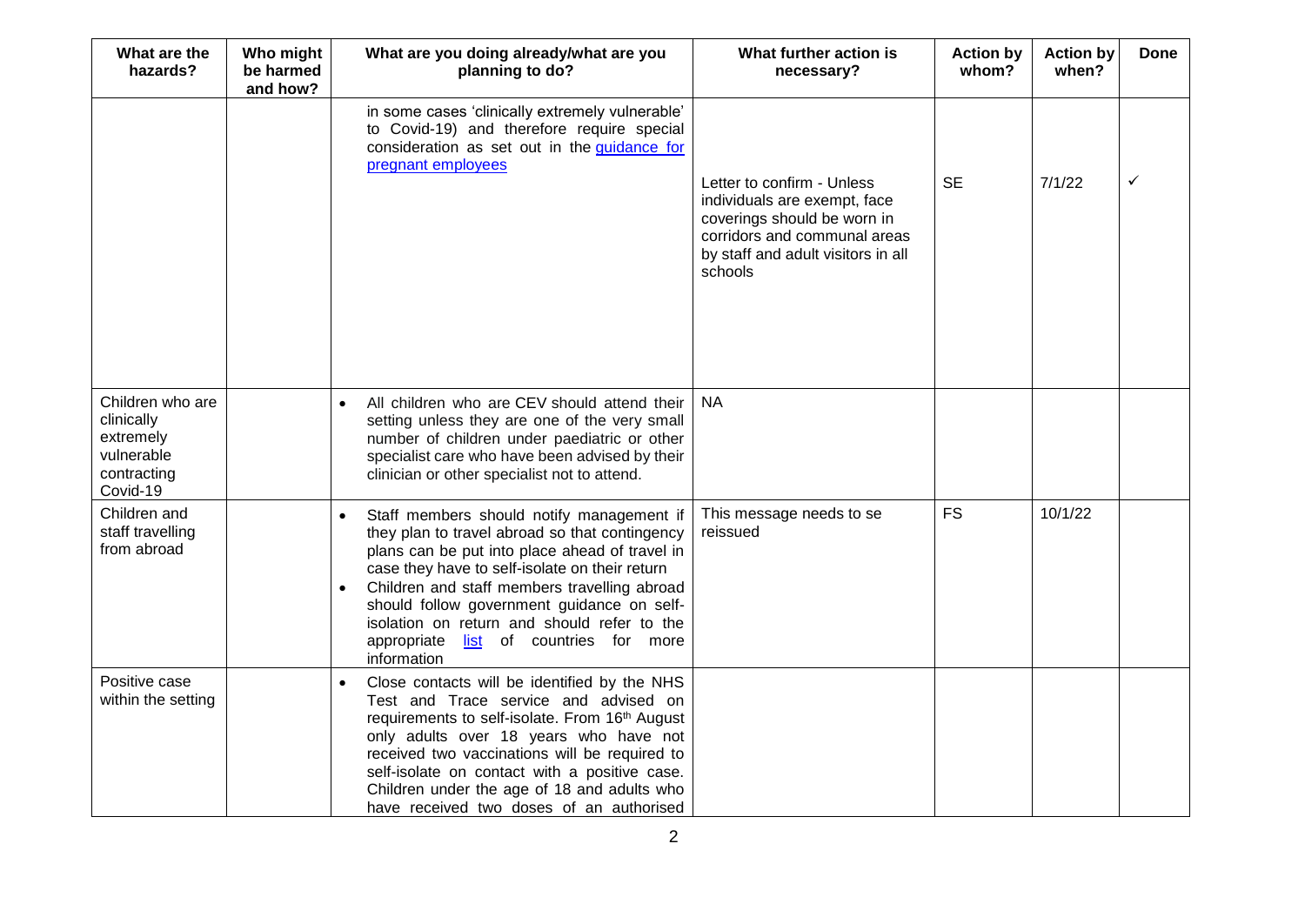| What are the<br>hazards?                                                             | Who might<br>be harmed<br>and how? | What are you doing already/what are you<br>planning to do?                                                                                                                                                                                                                                                                                                                                               | What further action is<br>necessary?                                                                                                                                       | <b>Action by</b><br>whom? | <b>Action by</b><br>when? | Done         |
|--------------------------------------------------------------------------------------|------------------------------------|----------------------------------------------------------------------------------------------------------------------------------------------------------------------------------------------------------------------------------------------------------------------------------------------------------------------------------------------------------------------------------------------------------|----------------------------------------------------------------------------------------------------------------------------------------------------------------------------|---------------------------|---------------------------|--------------|
|                                                                                      |                                    | in some cases 'clinically extremely vulnerable'<br>to Covid-19) and therefore require special<br>consideration as set out in the guidance for<br>pregnant employees                                                                                                                                                                                                                                      | Letter to confirm - Unless<br>individuals are exempt, face<br>coverings should be worn in<br>corridors and communal areas<br>by staff and adult visitors in all<br>schools | <b>SE</b>                 | 7/1/22                    | $\checkmark$ |
| Children who are<br>clinically<br>extremely<br>vulnerable<br>contracting<br>Covid-19 |                                    | All children who are CEV should attend their<br>setting unless they are one of the very small<br>number of children under paediatric or other<br>specialist care who have been advised by their<br>clinician or other specialist not to attend.                                                                                                                                                          | <b>NA</b>                                                                                                                                                                  |                           |                           |              |
| Children and<br>staff travelling<br>from abroad                                      |                                    | Staff members should notify management if<br>they plan to travel abroad so that contingency<br>plans can be put into place ahead of travel in<br>case they have to self-isolate on their return<br>Children and staff members travelling abroad<br>should follow government guidance on self-<br>isolation on return and should refer to the<br>appropriate<br>list of countries for more<br>information | This message needs to se<br>reissued                                                                                                                                       | <b>FS</b>                 | 10/1/22                   |              |
| Positive case<br>within the setting                                                  |                                    | Close contacts will be identified by the NHS<br>Test and Trace service and advised on<br>requirements to self-isolate. From 16th August<br>only adults over 18 years who have not<br>received two vaccinations will be required to<br>self-isolate on contact with a positive case.<br>Children under the age of 18 and adults who<br>have received two doses of an authorised                           |                                                                                                                                                                            |                           |                           |              |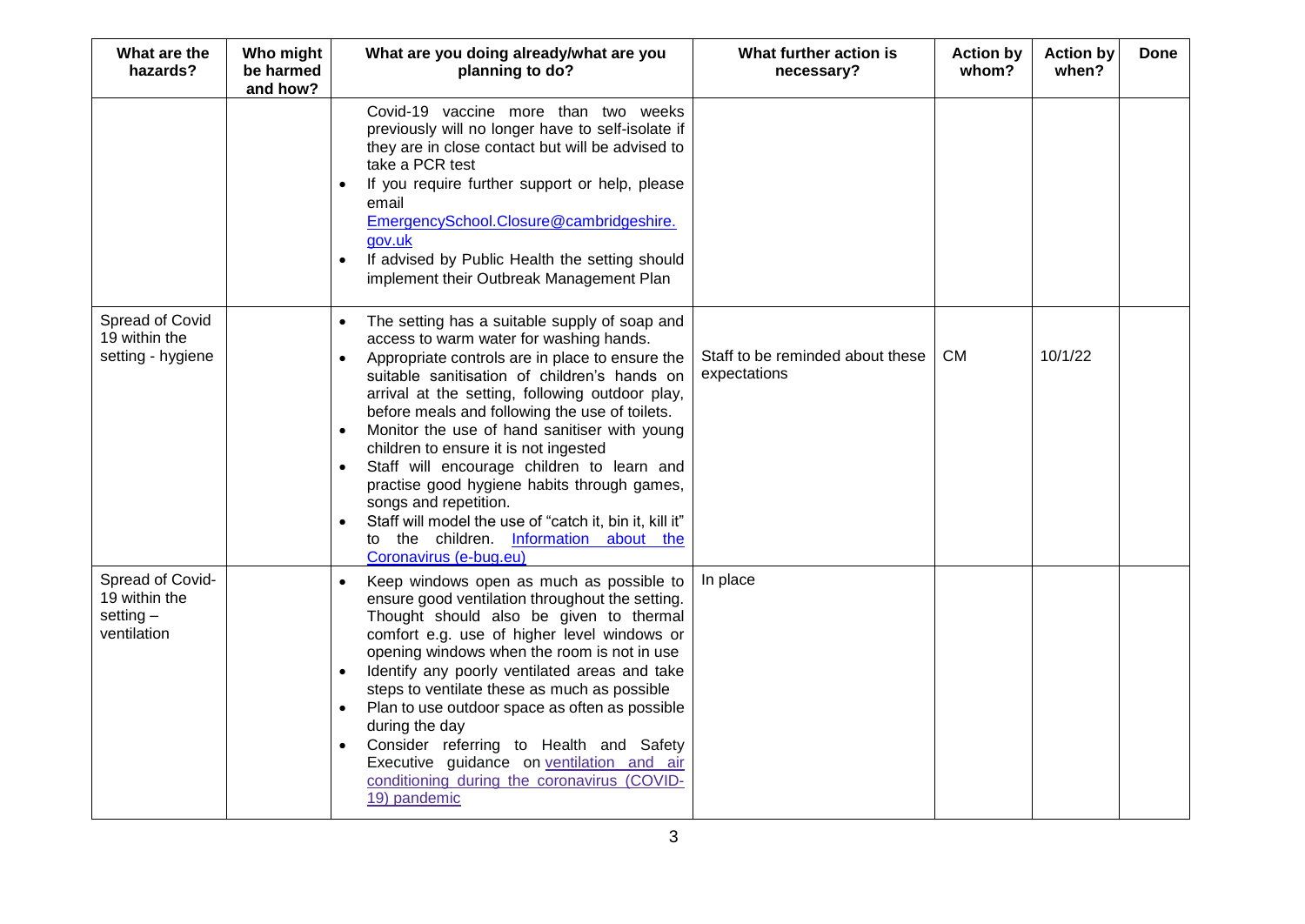| What are the<br>hazards?                                        | Who might<br>be harmed<br>and how? | What are you doing already/what are you<br>planning to do?                                                                                                                                                                                                                                                                                                                                                                                                                                                                                                                                                                                     | What further action is<br>necessary?             | <b>Action by</b><br>whom? | <b>Action by</b><br>when? | Done |
|-----------------------------------------------------------------|------------------------------------|------------------------------------------------------------------------------------------------------------------------------------------------------------------------------------------------------------------------------------------------------------------------------------------------------------------------------------------------------------------------------------------------------------------------------------------------------------------------------------------------------------------------------------------------------------------------------------------------------------------------------------------------|--------------------------------------------------|---------------------------|---------------------------|------|
|                                                                 |                                    | Covid-19 vaccine more than two weeks<br>previously will no longer have to self-isolate if<br>they are in close contact but will be advised to<br>take a PCR test<br>If you require further support or help, please<br>email<br>EmergencySchool.Closure@cambridgeshire.<br>gov.uk<br>If advised by Public Health the setting should<br>$\bullet$<br>implement their Outbreak Management Plan                                                                                                                                                                                                                                                    |                                                  |                           |                           |      |
| Spread of Covid<br>19 within the<br>setting - hygiene           |                                    | The setting has a suitable supply of soap and<br>access to warm water for washing hands.<br>Appropriate controls are in place to ensure the<br>suitable sanitisation of children's hands on<br>arrival at the setting, following outdoor play,<br>before meals and following the use of toilets.<br>Monitor the use of hand sanitiser with young<br>children to ensure it is not ingested<br>Staff will encourage children to learn and<br>practise good hygiene habits through games,<br>songs and repetition.<br>Staff will model the use of "catch it, bin it, kill it"<br>to the children. Information about the<br>Coronavirus (e-bug.eu) | Staff to be reminded about these<br>expectations | <b>CM</b>                 | 10/1/22                   |      |
| Spread of Covid-<br>19 within the<br>setting $-$<br>ventilation |                                    | Keep windows open as much as possible to<br>ensure good ventilation throughout the setting.<br>Thought should also be given to thermal<br>comfort e.g. use of higher level windows or<br>opening windows when the room is not in use<br>Identify any poorly ventilated areas and take<br>steps to ventilate these as much as possible<br>Plan to use outdoor space as often as possible<br>$\bullet$<br>during the day<br>Consider referring to Health and Safety<br>Executive guidance on ventilation and air<br>conditioning during the coronavirus (COVID-<br>19) pandemic                                                                  | In place                                         |                           |                           |      |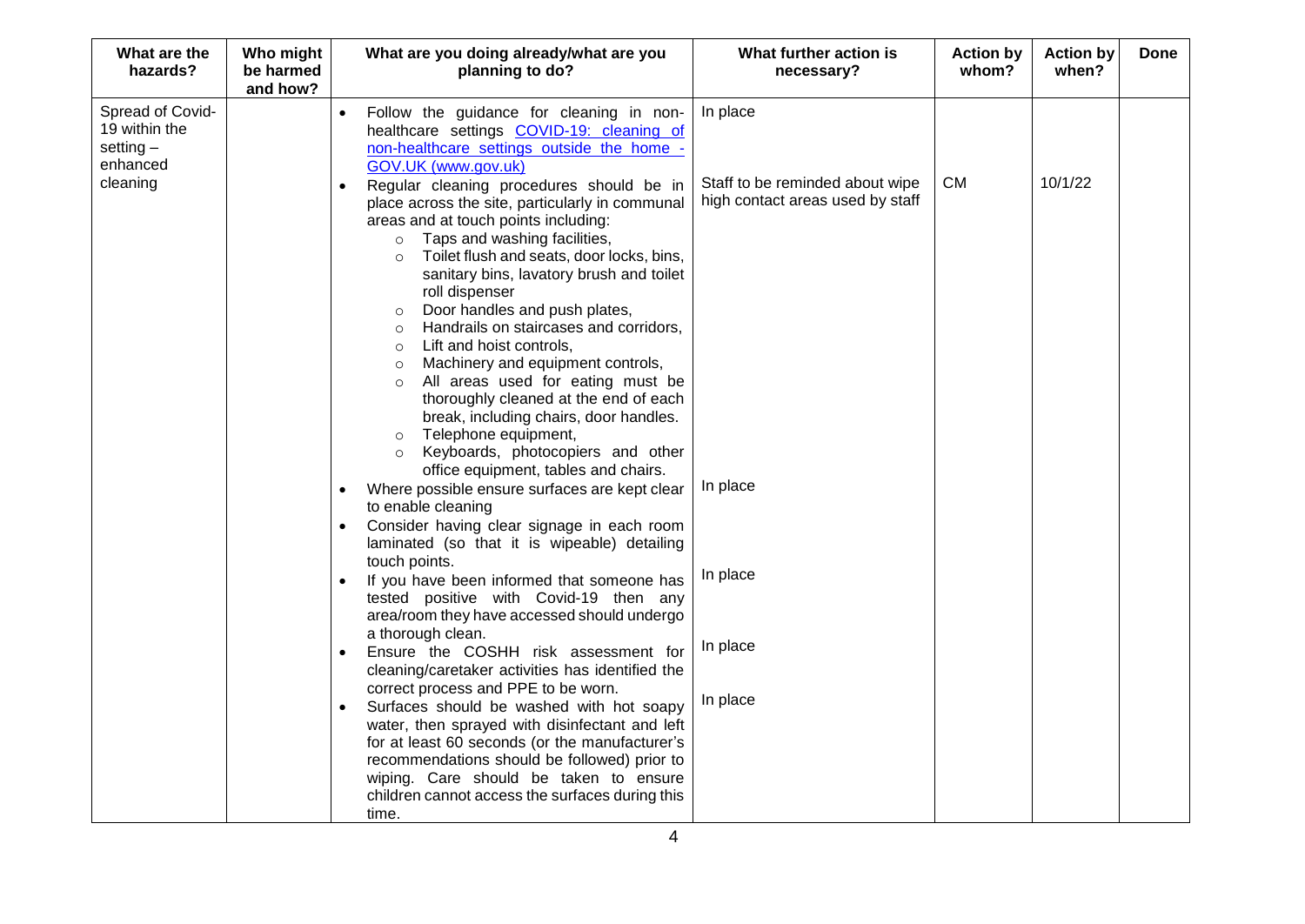| What are the<br>hazards?                                     | Who might<br>be harmed<br>and how? | What are you doing already/what are you<br>planning to do?                                                                                                                                                                                                                                                                                                                                                                                                                                                                                                                                                                                                                                                                                                                                                  | What further action is<br>necessary?                                            | <b>Action by</b><br>whom? | <b>Action by</b><br>when? | Done |
|--------------------------------------------------------------|------------------------------------|-------------------------------------------------------------------------------------------------------------------------------------------------------------------------------------------------------------------------------------------------------------------------------------------------------------------------------------------------------------------------------------------------------------------------------------------------------------------------------------------------------------------------------------------------------------------------------------------------------------------------------------------------------------------------------------------------------------------------------------------------------------------------------------------------------------|---------------------------------------------------------------------------------|---------------------------|---------------------------|------|
| Spread of Covid-<br>19 within the<br>setting $-$<br>enhanced |                                    | Follow the guidance for cleaning in non-<br>healthcare settings COVID-19: cleaning of<br>non-healthcare settings outside the home -<br>GOV.UK (www.gov.uk)                                                                                                                                                                                                                                                                                                                                                                                                                                                                                                                                                                                                                                                  | In place                                                                        |                           |                           |      |
| cleaning                                                     |                                    | Regular cleaning procedures should be in<br>place across the site, particularly in communal<br>areas and at touch points including:<br>Taps and washing facilities,<br>$\circ$<br>Toilet flush and seats, door locks, bins,<br>$\circ$<br>sanitary bins, lavatory brush and toilet<br>roll dispenser<br>Door handles and push plates,<br>$\circ$<br>Handrails on staircases and corridors,<br>$\circ$<br>Lift and hoist controls,<br>$\circ$<br>Machinery and equipment controls,<br>$\circ$<br>All areas used for eating must be<br>$\circ$<br>thoroughly cleaned at the end of each<br>break, including chairs, door handles.<br>Telephone equipment,<br>$\circ$<br>Keyboards, photocopiers and other<br>$\circ$<br>office equipment, tables and chairs.<br>Where possible ensure surfaces are kept clear | Staff to be reminded about wipe<br>high contact areas used by staff<br>In place | <b>CM</b>                 | 10/1/22                   |      |
|                                                              |                                    | to enable cleaning<br>Consider having clear signage in each room<br>laminated (so that it is wipeable) detailing<br>touch points.                                                                                                                                                                                                                                                                                                                                                                                                                                                                                                                                                                                                                                                                           |                                                                                 |                           |                           |      |
|                                                              |                                    | If you have been informed that someone has<br>tested positive with Covid-19 then any<br>area/room they have accessed should undergo<br>a thorough clean.                                                                                                                                                                                                                                                                                                                                                                                                                                                                                                                                                                                                                                                    | In place                                                                        |                           |                           |      |
|                                                              |                                    | Ensure the COSHH risk assessment for<br>$\bullet$<br>cleaning/caretaker activities has identified the<br>correct process and PPE to be worn.                                                                                                                                                                                                                                                                                                                                                                                                                                                                                                                                                                                                                                                                | In place                                                                        |                           |                           |      |
|                                                              |                                    | Surfaces should be washed with hot soapy<br>water, then sprayed with disinfectant and left<br>for at least 60 seconds (or the manufacturer's<br>recommendations should be followed) prior to<br>wiping. Care should be taken to ensure<br>children cannot access the surfaces during this<br>time.                                                                                                                                                                                                                                                                                                                                                                                                                                                                                                          | In place                                                                        |                           |                           |      |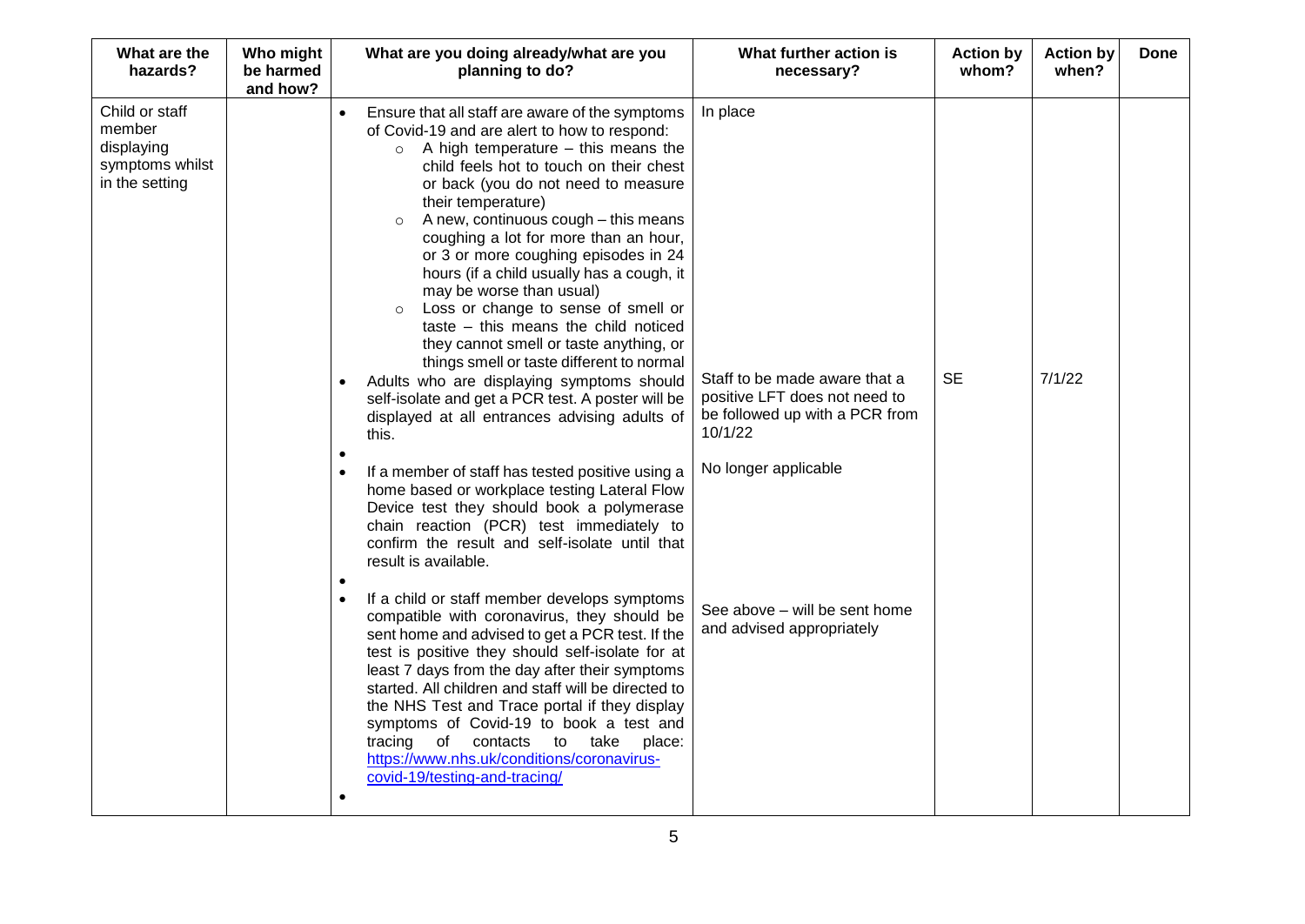| What are the<br>hazards?                                                    | Who might<br>be harmed<br>and how? | What are you doing already/what are you<br>planning to do?                                                                                                                                                                                                                                                                                                                                                                                                                                                                                                                                                                                                                                                                                                                                                                                                                                                                                                                                                                                                                                                                                                                                                                                                                                                                                                                                                                                                                                                                                                                                                                          | What further action is<br>necessary?                                                                                                                                                                          | <b>Action by</b><br>whom? | <b>Action by</b><br>when? | <b>Done</b> |
|-----------------------------------------------------------------------------|------------------------------------|-------------------------------------------------------------------------------------------------------------------------------------------------------------------------------------------------------------------------------------------------------------------------------------------------------------------------------------------------------------------------------------------------------------------------------------------------------------------------------------------------------------------------------------------------------------------------------------------------------------------------------------------------------------------------------------------------------------------------------------------------------------------------------------------------------------------------------------------------------------------------------------------------------------------------------------------------------------------------------------------------------------------------------------------------------------------------------------------------------------------------------------------------------------------------------------------------------------------------------------------------------------------------------------------------------------------------------------------------------------------------------------------------------------------------------------------------------------------------------------------------------------------------------------------------------------------------------------------------------------------------------------|---------------------------------------------------------------------------------------------------------------------------------------------------------------------------------------------------------------|---------------------------|---------------------------|-------------|
| Child or staff<br>member<br>displaying<br>symptoms whilst<br>in the setting |                                    | Ensure that all staff are aware of the symptoms<br>of Covid-19 and are alert to how to respond:<br>$\circ$ A high temperature – this means the<br>child feels hot to touch on their chest<br>or back (you do not need to measure<br>their temperature)<br>A new, continuous cough - this means<br>$\circ$<br>coughing a lot for more than an hour,<br>or 3 or more coughing episodes in 24<br>hours (if a child usually has a cough, it<br>may be worse than usual)<br>Loss or change to sense of smell or<br>$\circ$<br>taste - this means the child noticed<br>they cannot smell or taste anything, or<br>things smell or taste different to normal<br>Adults who are displaying symptoms should<br>self-isolate and get a PCR test. A poster will be<br>displayed at all entrances advising adults of<br>this.<br>If a member of staff has tested positive using a<br>home based or workplace testing Lateral Flow<br>Device test they should book a polymerase<br>chain reaction (PCR) test immediately to<br>confirm the result and self-isolate until that<br>result is available.<br>٠<br>If a child or staff member develops symptoms<br>compatible with coronavirus, they should be<br>sent home and advised to get a PCR test. If the<br>test is positive they should self-isolate for at<br>least 7 days from the day after their symptoms<br>started. All children and staff will be directed to<br>the NHS Test and Trace portal if they display<br>symptoms of Covid-19 to book a test and<br>of contacts to take<br>tracing<br>place:<br>https://www.nhs.uk/conditions/coronavirus-<br>covid-19/testing-and-tracing/ | In place<br>Staff to be made aware that a<br>positive LFT does not need to<br>be followed up with a PCR from<br>10/1/22<br>No longer applicable<br>See above - will be sent home<br>and advised appropriately | <b>SE</b>                 | 7/1/22                    |             |